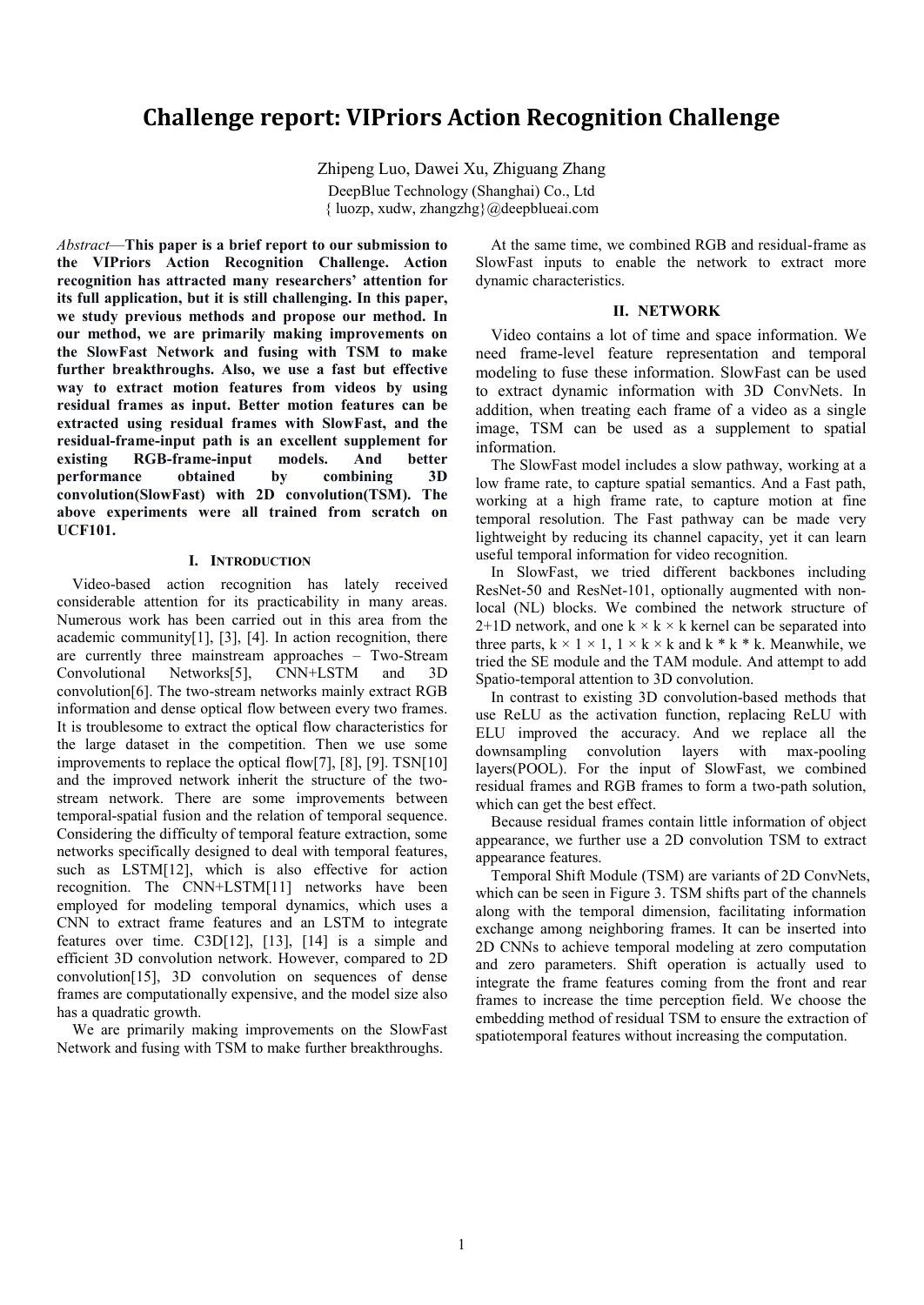# **Challenge report: VIPriors Action Recognition Challenge**

Zhipeng Luo, Dawei Xu, Zhiguang Zhang DeepBlue Technology (Shanghai) Co., Ltd { luozp, xudw, zhangzhg}@deepblueai.com

*Abstract*—**This paper is a brief report to our submission to the VIPriors Action Recognition Challenge. Action recognition has attracted many researchers' attention for its full application, but it is still challenging. In this paper, we study previous methods and propose our method. In our method, we are primarily making improvements on the SlowFast Network and fusing with TSM to make further breakthroughs. Also, we use a fast but effective way to extract motion features from videos by using residual frames as input. Better motion features can be extracted using residual frames with SlowFast, and the residual-frame-input path is an excellent supplement for existing RGB-frame-input models. And better performance obtained by combining 3D convolution(SlowFast) with 2D convolution(TSM). The above experiments were all trained from scratch on UCF101.**

### **I. INTRODUCTION**

Video-based action recognition has lately received considerable attention for its practicability in many areas. Numerous work has been carried out in this area from the academic community[1], [3], [4]. In action recognition, there are currently three mainstream approaches – Two-Stream Convolutional Networks[5], CNN+LSTM and 3D convolution[6]. The two-stream networks mainly extract RGB information and dense optical flow between every two frames. It is troublesome to extract the optical flow characteristics for the large dataset in the competition. Then we use some improvements to replace the optical flow[7], [8], [9]. TSN[10] and the improved network inherit the structure of the twostream network. There are some improvements between temporal-spatial fusion and the relation of temporal sequence. Considering the difficulty of temporal feature extraction, some networks specifically designed to deal with temporal features, such as LSTM[12], which is also effective for action recognition. The CNN+LSTM[11] networks have been employed for modeling temporal dynamics, which uses a CNN to extract frame features and an LSTM to integrate features over time. C3D[12], [13], [14] is a simple and efficient 3D convolution network. However, compared to 2D convolution[15], 3D convolution on sequences of dense frames are computationally expensive, and the model size also has a quadratic growth.

We are primarily making improvements on the SlowFast Network and fusing with TSM to make further breakthroughs.

At the same time, we combined RGB and residual-frame as SlowFast inputs to enable the network to extract more dynamic characteristics.

### **II. NETWORK**

Video contains a lot of time and space information. We need frame-level feature representation and temporal modeling to fuse these information. SlowFast can be used to extract dynamic information with 3D ConvNets. In addition, when treating each frame of a video as a single image, TSM can be used as a supplement to spatial information.

The SlowFast model includes a slow pathway, working at a low frame rate, to capture spatial semantics. And a Fast path, working at a high frame rate, to capture motion at fine temporal resolution. The Fast pathway can be made very lightweight by reducing its channel capacity, yet it can learn useful temporal information for video recognition.

In SlowFast, we tried different backbones including ResNet-50 and ResNet-101, optionally augmented with nonlocal (NL) blocks. We combined the network structure of 2+1D network, and one  $k \times k \times k$  kernel can be separated into three parts,  $k \times 1 \times 1$ ,  $1 \times k \times k$  and  $k * k * k$ . Meanwhile, we tried the SE module and the TAM module. And attempt to add Spatio-temporal attention to 3D convolution.

In contrast to existing 3D convolution-based methods that use ReLU as the activation function, replacing ReLU with ELU improved the accuracy. And we replace all the downsampling convolution layers with max-pooling layers(POOL). For the input of SlowFast, we combined residual frames and RGB frames to form a two-path solution, which can get the best effect.

Because residual frames contain little information of object appearance, we further use a 2D convolution TSM to extract appearance features.

Temporal Shift Module (TSM) are variants of 2D ConvNets, which can be seen in Figure 3. TSM shifts part of the channels along with the temporal dimension, facilitating information exchange among neighboring frames. It can be inserted into 2D CNNs to achieve temporal modeling at zero computation and zero parameters. Shift operation is actually used to integrate the frame features coming from the front and rear frames to increase the time perception field. We choose the embedding method of residual TSM to ensure the extraction of spatiotemporal features without increasing the computation.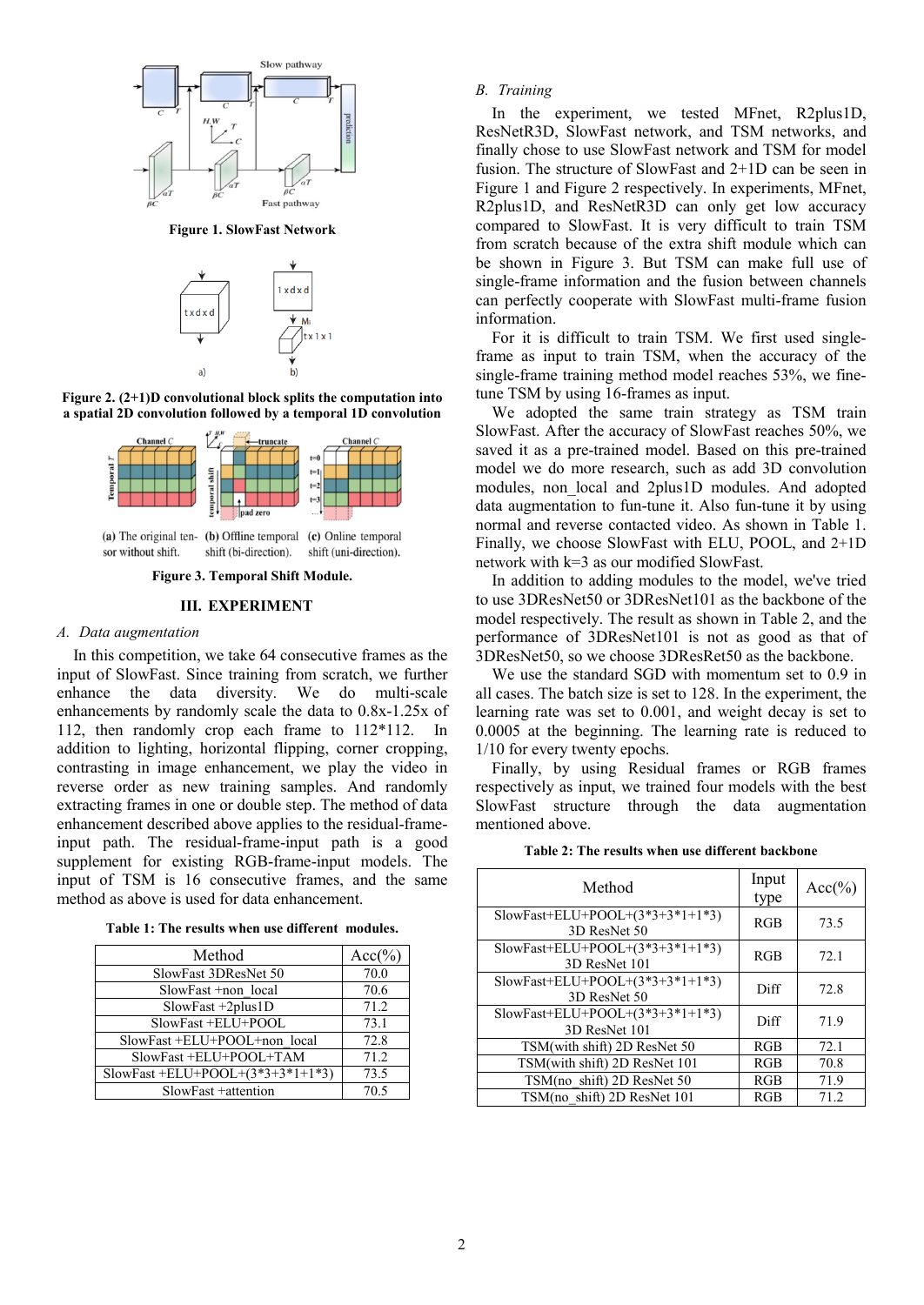

**Figure 1. SlowFast Network**



**Figure 2. (2+1)D convolutional block splits the computation into a spatial 2D convolution followed by a temporal 1D convolution**



sor without shift. shift (bi-direction). shift (uni-direction).

**Figure 3[. Temporal Shift Module.](https://arxiv.org/abs/1811.08383)**

## **III. EXPERIMENT**

### *A. Data augmentation*

In this competition, we take 64 consecutive frames as the input of SlowFast. Since training from scratch, we further enhance the data diversity. We do multi-scale enhancements by randomly scale the data to 0.8x-1.25x of 112, then randomly crop each frame to 112\*112. In addition to lighting, horizontal flipping, corner cropping, contrasting in image enhancement, we play the video in reverse order as new training samples. And randomly extracting frames in one or double step. The method of data enhancement described above applies to the residual-frameinput path. The residual-frame-input path is a good supplement for existing RGB-frame-input models. The input of TSM is 16 consecutive frames, and the same method as above is used for data enhancement.

| Table 1: The results when use different modules. |  |  |  |  |  |
|--------------------------------------------------|--|--|--|--|--|
|--------------------------------------------------|--|--|--|--|--|

| $Acc(\% )$ |
|------------|
| 70.0       |
| 70.6       |
| 71.2       |
| 73.1       |
| 72.8       |
| 71.2       |
| 73.5       |
| 70.5       |
|            |

## *B. Training*

In the experiment, we tested MFnet, R2plus1D, ResNetR3D, SlowFast network, and TSM networks, and finally chose to use SlowFast network and TSM for model fusion. The structure of SlowFast and 2+1D can be seen in Figure 1 and Figure 2 respectively. In experiments, MFnet, R2plus1D, and ResNetR3D can only get low accuracy compared to SlowFast. It is very difficult to train TSM from scratch because of the extra shift module which can be shown in Figure 3. But TSM can make full use of single-frame information and the fusion between channels can perfectly cooperate with SlowFast multi-frame fusion information.

For it is difficult to train TSM. We first used singleframe as input to train TSM, when the accuracy of the single-frame training method model reaches 53%, we finetune TSM by using 16-frames as input.

We adopted the same train strategy as TSM train SlowFast. After the accuracy of SlowFast reaches 50%, we saved it as a pre-trained model. Based on this pre-trained model we do more research, such as add 3D convolution modules, non local and 2plus1D modules. And adopted data augmentation to fun-tune it. Also fun-tune it by using normal and reverse contacted video. As shown in Table 1. Finally, we choose SlowFast with ELU, POOL, and 2+1D network with k=3 as our modified SlowFast.

In addition to adding modules to the model, we've tried to use 3DResNet50 or 3DResNet101 as the backbone of the model respectively. The result as shown in Table 2, and the performance of 3DResNet101 is not as good as that of 3DResNet50, so we choose 3DResRet50 as the backbone.

We use the standard SGD with momentum set to 0.9 in all cases. The batch size is set to 128. In the experiment, the learning rate was set to 0.001, and weight decay is set to 0.0005 at the beginning. The learning rate is reduced to 1/10 for every twenty epochs.

Finally, by using Residual frames or RGB frames respectively as input, we trained four models with the best SlowFast structure through the data augmentation mentioned above.

**Table 2: The results when use different backbone**

| Method                                              | Input<br>type | $Acc(\% )$ |
|-----------------------------------------------------|---------------|------------|
| SlowFast+ELU+POOL+ $(3*3+3*1+1*3)$<br>3D ResNet 50  | RGB           | 73.5       |
| SlowFast+ELU+POOL+ $(3*3+3*1+1*3)$<br>3D ResNet 101 | RGB           | 72.1       |
| SlowFast+ELU+POOL+ $(3*3+3*1+1*3)$<br>3D ResNet 50  | Diff          | 72.8       |
| SlowFast+ELU+POOL+ $(3*3+3*1+1*3)$<br>3D ResNet 101 | Diff          | 71.9       |
| TSM(with shift) 2D ResNet 50                        | RGB           | 72.1       |
| TSM(with shift) 2D ResNet 101                       | RGB           | 70.8       |
| TSM(no shift) 2D ResNet 50                          | RGB           | 71.9       |
| TSM(no shift) 2D ResNet 101                         | RGB           | 71.2       |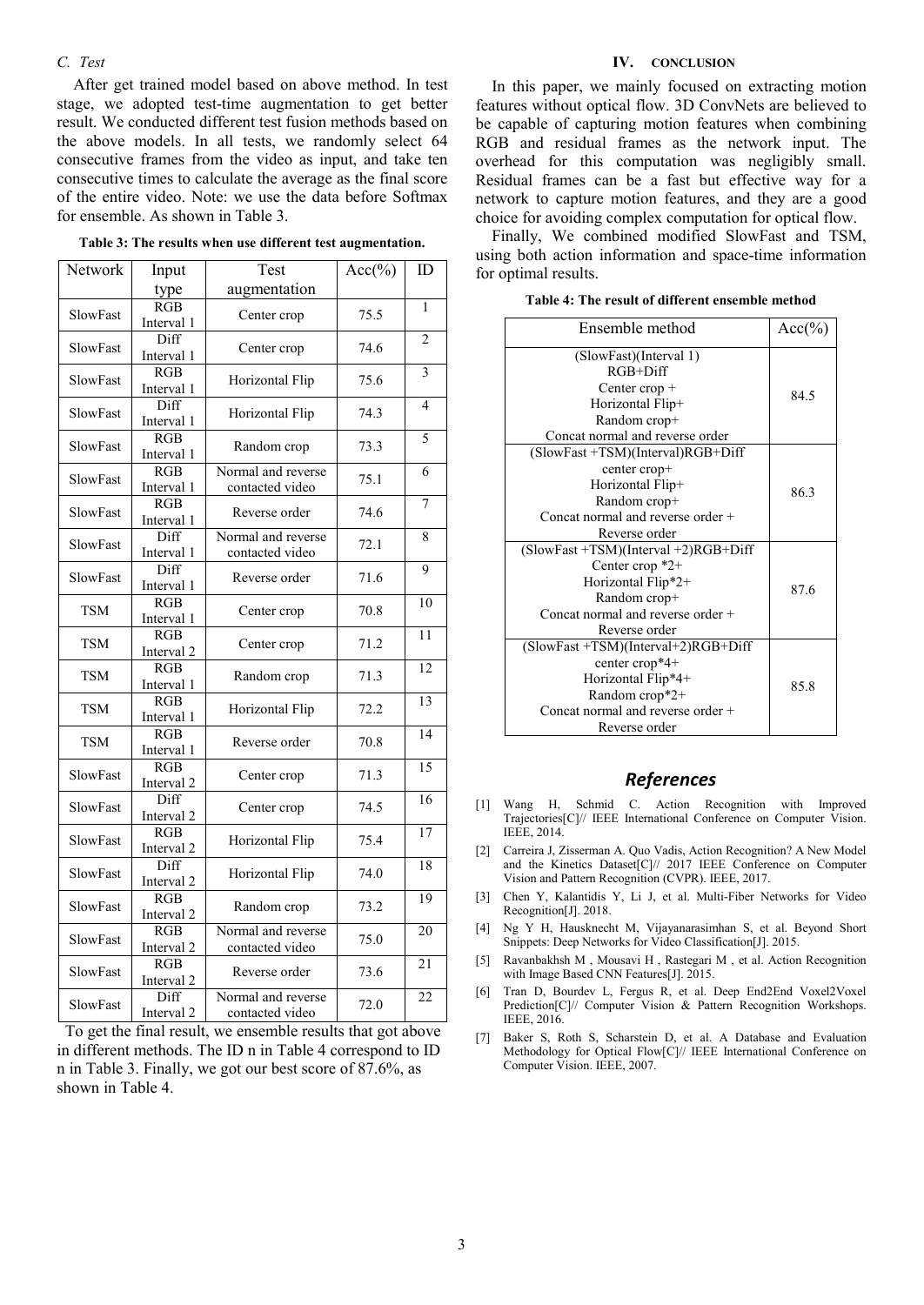## *C. Test*

After get trained model based on above method. In test stage, we adopted test-time augmentation to get better result. We conducted different test fusion methods based on the above models. In all tests, we randomly select 64 consecutive frames from the video as input, and take ten consecutive times to calculate the average as the final score of the entire video. Note: we use the data before Softmax for ensemble. As shown in Table 3.

| Network                  | Input                    | Test               | $Acc(\%)$ | ID              |
|--------------------------|--------------------------|--------------------|-----------|-----------------|
|                          | type                     | augmentation       |           |                 |
| SlowFast                 | RGB                      | Center crop        | 75.5      | $\mathbf{1}$    |
|                          | Interval 1               |                    |           |                 |
| SlowFast                 | Diff                     | Center crop        | 74.6      | $\overline{2}$  |
|                          | Interval 1               |                    |           |                 |
| SlowFast                 | RGB                      | Horizontal Flip    | 75.6      | $\overline{3}$  |
|                          | Interval 1               |                    |           |                 |
| SlowFast                 | Diff                     | Horizontal Flip    | 74.3      | $\overline{4}$  |
| Interval 1<br>RGB        |                          |                    |           | 5               |
| SlowFast                 |                          | Random crop        | 73.3      |                 |
|                          | Interval 1<br>RGB        | Normal and reverse |           | 6               |
| SlowFast                 | Interval 1               | contacted video    | 75.1      |                 |
|                          | RGB                      |                    |           | 7               |
| SlowFast                 | Interval 1               | Reverse order      | 74.6      |                 |
|                          | Diff                     | Normal and reverse |           | 8               |
| SlowFast                 | Interval 1               | contacted video    | 72.1      |                 |
|                          | Diff                     |                    |           | 9               |
| SlowFast                 | Interval 1               | Reverse order      | 71.6      |                 |
| <b>TSM</b>               | RGB                      |                    | 70.8      | 10              |
|                          | Interval 1               | Center crop        |           |                 |
| <b>TSM</b><br><b>TSM</b> | $\overline{RGB}$         | Center crop        | 71.2      | $\overline{11}$ |
|                          | Interval <sub>2</sub>    |                    |           |                 |
|                          | RGB                      | Random crop        | 71.3      | 12              |
|                          | Interval 1               |                    |           |                 |
| <b>TSM</b>               | RGB                      | Horizontal Flip    | 72.2      | 13              |
|                          | Interval 1<br><b>RGB</b> |                    |           | $\overline{14}$ |
| <b>TSM</b>               | Interval 1               | Reverse order      | 70.8      |                 |
|                          | RGB                      |                    |           | 15              |
| SlowFast                 | Interval 2               | Center crop        | 71.3      |                 |
|                          | Diff                     |                    |           | 16              |
| SlowFast                 | Interval 2               | Center crop        | 74.5      |                 |
|                          | RGB                      |                    |           | 17              |
| SlowFast                 | Interval <sub>2</sub>    | Horizontal Flip    | 75.4      |                 |
| SlowFast                 | Diff                     |                    |           | 18              |
|                          | Interval <sub>2</sub>    | Horizontal Flip    | 74.0      |                 |
| SlowFast                 | RGB                      | Random crop        | 73.2      | 19              |
|                          | Interval 2               |                    |           |                 |
| SlowFast                 | <b>RGB</b>               | Normal and reverse | 75.0      | 20              |
|                          | Interval 2               | contacted video    |           |                 |
| SlowFast                 | RGB                      | Reverse order      | 73.6      | 21              |
|                          | Interval <sub>2</sub>    |                    |           |                 |
| SlowFast                 | Diff                     | Normal and reverse | 72.0      | 22              |
|                          | Interval <sub>2</sub>    | contacted video    |           |                 |

**Table 3: The results when use different test augmentation.**

 $\overline{\phantom{a}}$ 

 $\overline{r}$ 

 $\sqrt{a^2 + b^2}$ 

# To get the final result, we ensemble results that got above in different methods. The ID n in Table 4 correspond to ID n in Table 3. Finally, we got our best score of 87.6%, as shown in Table 4.

#### **IV. CONCLUSION**

In this paper, we mainly focused on extracting motion features without optical flow. 3D ConvNets are believed to be capable of capturing motion features when combining RGB and residual frames as the network input. The overhead for this computation was negligibly small. Residual frames can be a fast but effective way for a network to capture motion features, and they are a good choice for avoiding complex computation for optical flow.

Finally, We combined modified SlowFast and TSM, using both action information and space-time information for optimal results.

| Table 4: The result of different ensemble method |
|--------------------------------------------------|
|--------------------------------------------------|

| Ensemble method                                                                                                                                             | $Acc(\% )$ |
|-------------------------------------------------------------------------------------------------------------------------------------------------------------|------------|
| (SlowFast)(Interval 1)<br>$RGB+Diff$                                                                                                                        |            |
| Center crop +<br>Horizontal Flip+<br>Random crop+                                                                                                           | 84.5       |
| Concat normal and reverse order                                                                                                                             |            |
| (SlowFast +TSM)(Interval)RGB+Diff<br>center crop+<br>Horizontal Flip+<br>Random crop+<br>Concat normal and reverse order +<br>Reverse order                 | 86.3       |
| $(SlowFast + TSM)(Interval + 2)RGB + Diff$<br>Center crop $*2+$<br>Horizontal Flip*2+<br>Random crop+<br>Concat normal and reverse order +<br>Reverse order | 87.6       |
| $(SlowFast + TSM)(Interval + 2)RGB + Diff$<br>center crop*4+<br>Horizontal Flip*4+<br>Random crop*2+<br>Concat normal and reverse order +<br>Reverse order  | 85.8       |

## *References*

- [1] Wang H, Schmid C. Action Recognition with Improved Trajectories[C]// IEEE International Conference on Computer Vision. IEEE, 2014.
- [2] Carreira J, Zisserman A. Quo Vadis, Action Recognition? A New Model and the Kinetics Dataset[C]// 2017 IEEE Conference on Computer Vision and Pattern Recognition (CVPR). IEEE, 2017.
- [3] Chen Y, Kalantidis Y, Li J, et al. Multi-Fiber Networks for Video Recognition[J]. 2018.
- [4] Ng Y H, Hausknecht M, Vijayanarasimhan S, et al. Beyond Short Snippets: Deep Networks for Video Classification[J]. 2015.
- [5] Ravanbakhsh M , Mousavi H , Rastegari M , et al. Action Recognition with Image Based CNN Features[J]. 2015.
- [6] Tran D, Bourdev L, Fergus R, et al. Deep End2End Voxel2Voxel Prediction[C]// Computer Vision & Pattern Recognition Workshops. IEEE, 2016.
- [7] Baker S, Roth S, Scharstein D, et al. A Database and Evaluation Methodology for Optical Flow[C]// IEEE International Conference on Computer Vision. IEEE, 2007.